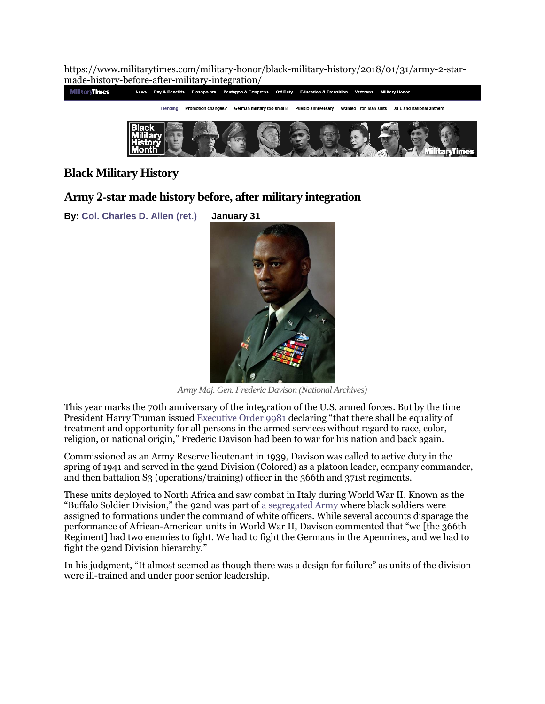[https://www.militarytimes.com/military-honor/black-military-history/2018/01/31/army-2-star](https://www.militarytimes.com/military-honor/black-military-history/)[made-history-before-after-military-integration/](https://www.militarytimes.com/military-honor/black-military-history/)



## **Black Military History**

**Army 2-star made history before, after military integration**

**By: [Col. Charles D. Allen \(ret.\)](https://www.militarytimes.com/author/charles-d-allen--) January 31** 



*Army Maj. Gen. Frederic Davison (National Archives)*

This year marks the 70th anniversary of the integration of the U.S. armed forces. But by the time President Harry Truman issued [Executive Order 9981](https://www.militarytimes.com/military-honor/black-military-history/2017/02/01/march-to-equality-a-philip-randolph-and-the-desegregation-of-the-military/) declaring "that there shall be equality of treatment and opportunity for all persons in the armed services without regard to race, color, religion, or national origin," Frederic Davison had been to war for his nation and back again.

Commissioned as an Army Reserve lieutenant in 1939, Davison was called to active duty in the spring of 1941 and served in the 92nd Division (Colored) as a platoon leader, company commander, and then battalion S3 (operations/training) officer in the 366th and 371st regiments.

These units deployed to North Africa and saw combat in Italy during World War II. Known as the "Buffalo Soldier Division," the 92nd was part of [a segregated Army](https://www.militarytimes.com/military-honor/black-military-history/2018/01/30/african-american-gis-of-wwii-fighting-for-democracy-abroad-and-at-home/) where black soldiers were assigned to formations under the command of white officers. While several accounts disparage the performance of African-American units in World War II, Davison commented that "we [the 366th Regiment] had two enemies to fight. We had to fight the Germans in the Apennines, and we had to fight the 92nd Division hierarchy."

In his judgment, "It almost seemed as though there was a design for failure" as units of the division were ill-trained and under poor senior leadership.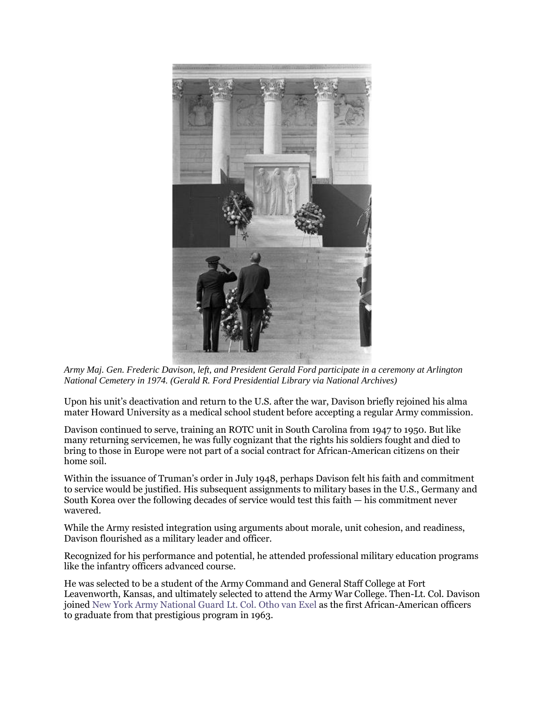

*Army Maj. Gen. Frederic Davison, left, and President Gerald Ford participate in a ceremony at Arlington National Cemetery in 1974. (Gerald R. Ford Presidential Library via National Archives)*

Upon his unit's deactivation and return to the U.S. after the war, Davison briefly rejoined his alma mater Howard University as a medical school student before accepting a regular Army commission.

Davison continued to serve, training an ROTC unit in South Carolina from 1947 to 1950. But like many returning servicemen, he was fully cognizant that the rights his soldiers fought and died to bring to those in Europe were not part of a social contract for African-American citizens on their home soil.

Within the issuance of Truman's order in July 1948, perhaps Davison felt his faith and commitment to service would be justified. His subsequent assignments to military bases in the U.S., Germany and South Korea over the following decades of service would test this faith — his commitment never wavered.

While the Army resisted integration using arguments about morale, unit cohesion, and readiness, Davison flourished as a military leader and officer.

Recognized for his performance and potential, he attended professional military education programs like the infantry officers advanced course.

He was selected to be a student of the Army Command and General Staff College at Fort Leavenworth, Kansas, and ultimately selected to attend the Army War College. Then-Lt. Col. Davison joine[d New York Army National Guard Lt. Col. Otho van Exel](http://www.nationalguard.mil/News/Article-View/Article/653631/black-new-york-army-national-guard-officer-overcame-discrimination-in-1964/) as the first African-American officers to graduate from that prestigious program in 1963.